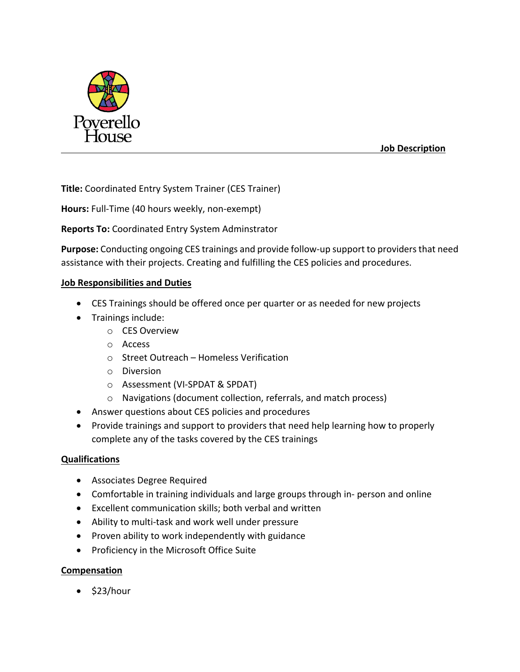

 **Job Description**

**Title:** Coordinated Entry System Trainer (CES Trainer)

**Hours:** Full-Time (40 hours weekly, non-exempt)

## **Reports To:** Coordinated Entry System Adminstrator

**Purpose:** Conducting ongoing CES trainings and provide follow-up support to providers that need assistance with their projects. Creating and fulfilling the CES policies and procedures.

## **Job Responsibilities and Duties**

- CES Trainings should be offered once per quarter or as needed for new projects
- Trainings include:
	- o CES Overview
	- o Access
	- o Street Outreach Homeless Verification
	- o Diversion
	- o Assessment (VI-SPDAT & SPDAT)
	- o Navigations (document collection, referrals, and match process)
- Answer questions about CES policies and procedures
- Provide trainings and support to providers that need help learning how to properly complete any of the tasks covered by the CES trainings

## **Qualifications**

- Associates Degree Required
- Comfortable in training individuals and large groups through in- person and online
- Excellent communication skills; both verbal and written
- Ability to multi-task and work well under pressure
- Proven ability to work independently with guidance
- Proficiency in the Microsoft Office Suite

## **Compensation**

 $\bullet$  \$23/hour